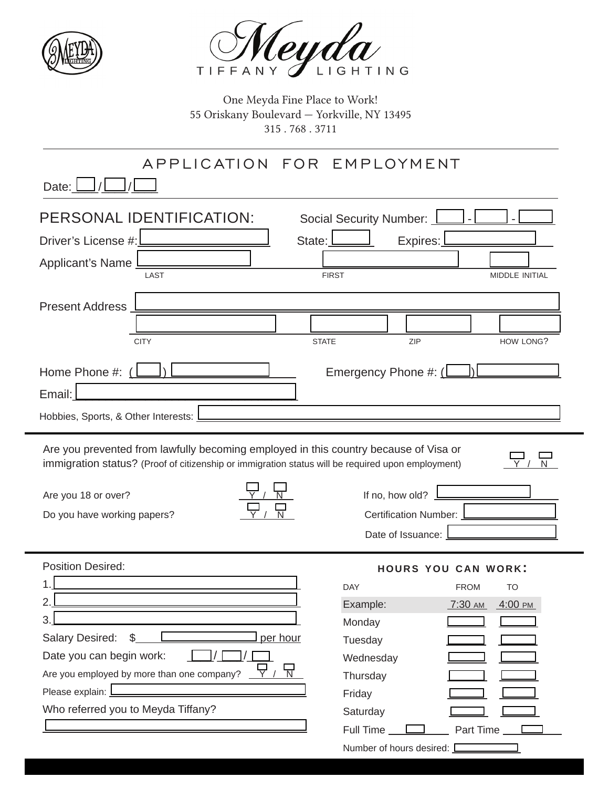



One Meyda Fine Place to Work! 55 Oriskany Boulevard — Yorkville, NY 13495 315 . 768 . 3711

## application For employment

Date:  $\boxed{\phantom{1}}$  /

| PERSONAL IDENTIFICATION:<br>Driver's License #:<br>State:<br>Applicant's Name                                                                                                             | Social Security Number: _<br>Expires:                         |  |  |
|-------------------------------------------------------------------------------------------------------------------------------------------------------------------------------------------|---------------------------------------------------------------|--|--|
| LAST                                                                                                                                                                                      | <b>FIRST</b><br>MIDDLE INITIAL                                |  |  |
| <b>Present Address</b>                                                                                                                                                                    |                                                               |  |  |
|                                                                                                                                                                                           |                                                               |  |  |
| <b>CITY</b>                                                                                                                                                                               | ZIP<br>HOW LONG?<br><b>STATE</b>                              |  |  |
| Home Phone #: (                                                                                                                                                                           | Emergency Phone #: $\lfloor \underline{\hspace{1cm}} \rfloor$ |  |  |
| Email:                                                                                                                                                                                    |                                                               |  |  |
| Hobbies, Sports, & Other Interests:                                                                                                                                                       |                                                               |  |  |
| Are you prevented from lawfully becoming employed in this country because of Visa or<br>immigration status? (Proof of citizenship or immigration status will be required upon employment) |                                                               |  |  |
| Are you 18 or over?                                                                                                                                                                       | If no, how old?                                               |  |  |
| Do you have working papers?                                                                                                                                                               | Certification Number:                                         |  |  |
|                                                                                                                                                                                           | Date of Issuance:                                             |  |  |
|                                                                                                                                                                                           |                                                               |  |  |
| <b>Position Desired:</b>                                                                                                                                                                  | <b>HOURS YOU CAN WORK:</b>                                    |  |  |
|                                                                                                                                                                                           | <b>DAY</b><br>TO<br><b>FROM</b>                               |  |  |
|                                                                                                                                                                                           | Example:<br>4:00 РМ<br>7:30 AM                                |  |  |
|                                                                                                                                                                                           | Monday                                                        |  |  |
| per hour<br>Salary Desired:<br>\$                                                                                                                                                         | Tuesday                                                       |  |  |
| Date you can begin work:                                                                                                                                                                  | Wednesday                                                     |  |  |
| Are you employed by more than one company?<br>N                                                                                                                                           | Thursdav                                                      |  |  |

Please explain:  $\square$ 

 $\frac{1}{2}$ 

Who referred you to Meyda Tiffany?

| DAY                        | <b>FROM</b>      | TO         |
|----------------------------|------------------|------------|
| Example:                   | <u>7:30 ам</u>   | $-4:00$ PM |
| Monday                     |                  |            |
| Tuesday                    |                  |            |
| Wednesday                  |                  |            |
| Thursday                   |                  |            |
| Friday                     |                  |            |
| Saturday                   |                  |            |
| <b>Full Time</b>           | <b>Part Time</b> |            |
| Number of hours desired: I |                  |            |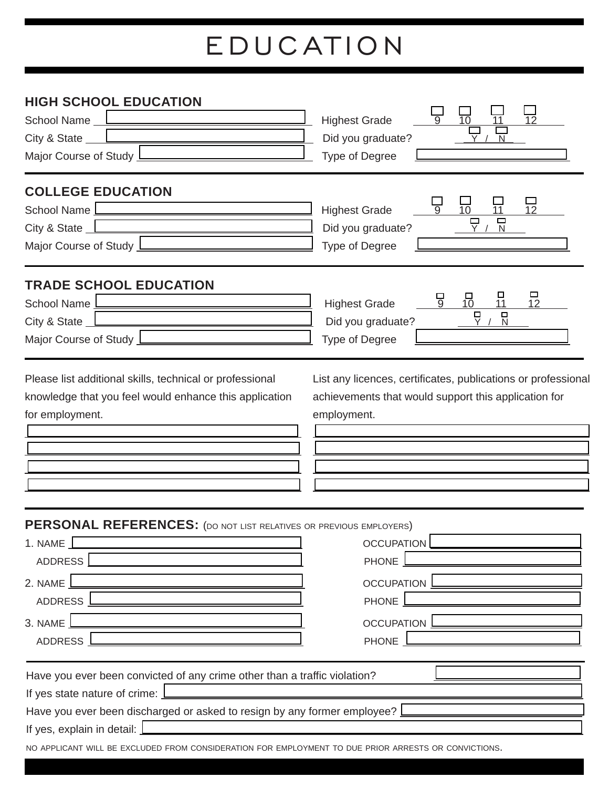## education

| <b>HIGH SCHOOL EDUCATION</b><br>School Name <u>Lander and Theory</u><br>City & State $_$<br>Major Course of Study L                                                                                                                                                                                                                                                | <b>Highest Grade</b><br>12<br>Did you graduate?<br>Type of Degree                                                                         |
|--------------------------------------------------------------------------------------------------------------------------------------------------------------------------------------------------------------------------------------------------------------------------------------------------------------------------------------------------------------------|-------------------------------------------------------------------------------------------------------------------------------------------|
| <b>COLLEGE EDUCATION</b><br>School Name<br>City & State $\Box$<br>Major Course of Study L                                                                                                                                                                                                                                                                          | <b>Highest Grade</b><br>12<br>10<br>11<br>ロ<br>Did you graduate?<br>Type of Degree                                                        |
| <b>TRADE SCHOOL EDUCATION</b><br><b>School Name</b><br>City & State _<br>Major Course of Study                                                                                                                                                                                                                                                                     | □<br>$\frac{\square}{11}$<br>믕<br>$\frac{1}{10}$<br><b>Highest Grade</b><br>12<br>$\Box$<br>□<br>Did you graduate?<br>N<br>Type of Degree |
| Please list additional skills, technical or professional<br>knowledge that you feel would enhance this application<br>for employment.                                                                                                                                                                                                                              | List any licences, certificates, publications or professional<br>achievements that would support this application for<br>employment.      |
| PERSONAL REFERENCES: (DO NOT LIST RELATIVES OR PREVIOUS EMPLOYERS)<br>1. NAME<br><b>ADDRESS</b><br>2. NAME<br>ADDRESS  <br>3. NAME<br>ADDRESS                                                                                                                                                                                                                      | <b>OCCUPATION</b><br>PHONE<br><b>OCCUPATION</b><br>PHONE<br><b>OCCUPATION</b><br>PHONE                                                    |
| Have you ever been convicted of any crime other than a traffic violation?<br>If yes state nature of crime: $\mathbf{I}$<br>Have you ever been discharged or asked to resign by any former employee?<br>If yes, explain in detail: $\mathbf{\underline{I}}$<br>NO APPLICANT WILL BE EXCLUDED FROM CONSIDERATION FOR EMPLOYMENT TO DUE PRIOR ARRESTS OR CONVICTIONS. |                                                                                                                                           |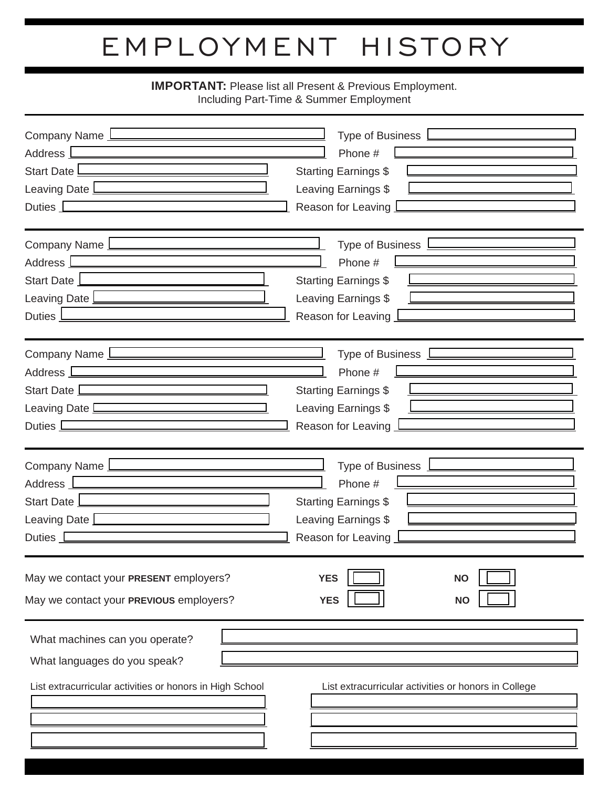## employment history

## **IMPORTANT:** Please list all Present & Previous Employment.<br>Including Part-Time & Summer Employment

| Company Name L<br>Address  <br>Start Date L<br>Leaving Date L<br>Duties $\boxed{\phantom{1}}$                              | Type of Business<br>Phone #<br><b>Starting Earnings \$</b><br>Leaving Earnings \$<br>Reason for Leaving |
|----------------------------------------------------------------------------------------------------------------------------|---------------------------------------------------------------------------------------------------------|
| Company Name 1                                                                                                             | Type of Business                                                                                        |
| Address <sub>L</sub>                                                                                                       | Phone #                                                                                                 |
| Start Date                                                                                                                 | <b>Starting Earnings \$</b>                                                                             |
| Leaving Date                                                                                                               | Leaving Earnings \$                                                                                     |
| Duties _                                                                                                                   | Reason for Leaving                                                                                      |
| Company Name                                                                                                               | Type of Business <b>Lessing</b>                                                                         |
| Address <b>Leage</b>                                                                                                       | Phone #                                                                                                 |
| Start Date L                                                                                                               | <b>Starting Earnings \$</b>                                                                             |
| Leaving Date L                                                                                                             | Leaving Earnings \$                                                                                     |
| Duties $\square$                                                                                                           | Reason for Leaving                                                                                      |
| Company Name                                                                                                               | Type of Business                                                                                        |
| Address L                                                                                                                  | Phone #                                                                                                 |
| Start Date                                                                                                                 | <b>Starting Earnings \$</b>                                                                             |
| Leaving Date L                                                                                                             | Leaving Earnings \$                                                                                     |
| Duties L                                                                                                                   | Reason for Leaving                                                                                      |
| May we contact your PRESENT employers?<br>May we contact your PREVIOUS employers?                                          | <b>YES</b><br><b>NO</b><br><b>YES</b><br><b>NO</b>                                                      |
| What machines can you operate?<br>What languages do you speak?<br>List extracurricular activities or honors in High School | List extracurricular activities or honors in College                                                    |